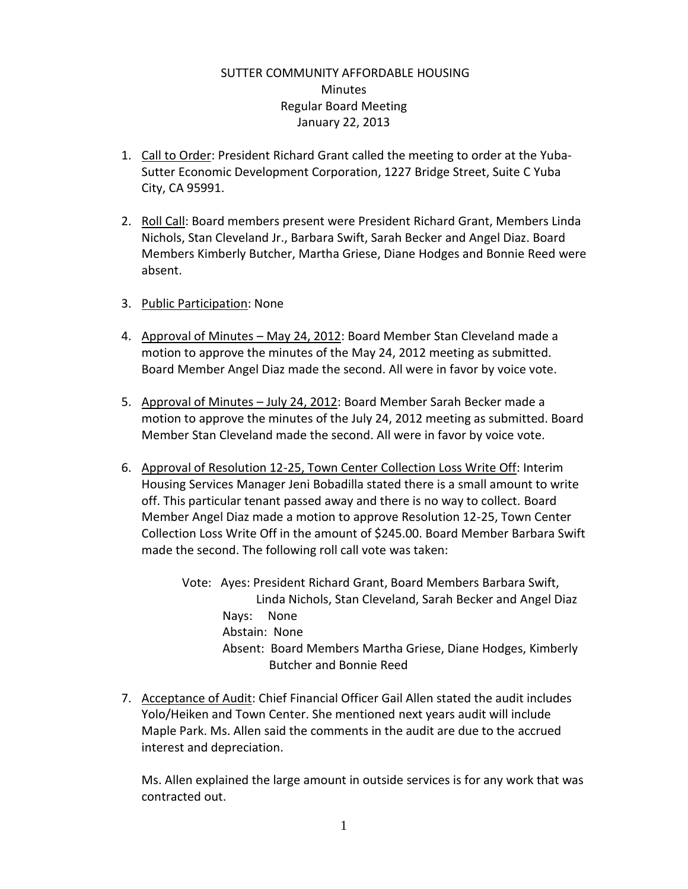## SUTTER COMMUNITY AFFORDABLE HOUSING Minutes Regular Board Meeting January 22, 2013

- 1. Call to Order: President Richard Grant called the meeting to order at the Yuba-Sutter Economic Development Corporation, 1227 Bridge Street, Suite C Yuba City, CA 95991.
- 2. Roll Call: Board members present were President Richard Grant, Members Linda Nichols, Stan Cleveland Jr., Barbara Swift, Sarah Becker and Angel Diaz. Board Members Kimberly Butcher, Martha Griese, Diane Hodges and Bonnie Reed were absent.
- 3. Public Participation: None
- 4. Approval of Minutes May 24, 2012: Board Member Stan Cleveland made a motion to approve the minutes of the May 24, 2012 meeting as submitted. Board Member Angel Diaz made the second. All were in favor by voice vote.
- 5. Approval of Minutes July 24, 2012: Board Member Sarah Becker made a motion to approve the minutes of the July 24, 2012 meeting as submitted. Board Member Stan Cleveland made the second. All were in favor by voice vote.
- 6. Approval of Resolution 12-25, Town Center Collection Loss Write Off: Interim Housing Services Manager Jeni Bobadilla stated there is a small amount to write off. This particular tenant passed away and there is no way to collect. Board Member Angel Diaz made a motion to approve Resolution 12-25, Town Center Collection Loss Write Off in the amount of \$245.00. Board Member Barbara Swift made the second. The following roll call vote was taken:

Vote: Ayes: President Richard Grant, Board Members Barbara Swift, Linda Nichols, Stan Cleveland, Sarah Becker and Angel Diaz Nays: None Abstain: None Absent: Board Members Martha Griese, Diane Hodges, Kimberly Butcher and Bonnie Reed

7. Acceptance of Audit: Chief Financial Officer Gail Allen stated the audit includes Yolo/Heiken and Town Center. She mentioned next years audit will include Maple Park. Ms. Allen said the comments in the audit are due to the accrued interest and depreciation.

Ms. Allen explained the large amount in outside services is for any work that was contracted out.